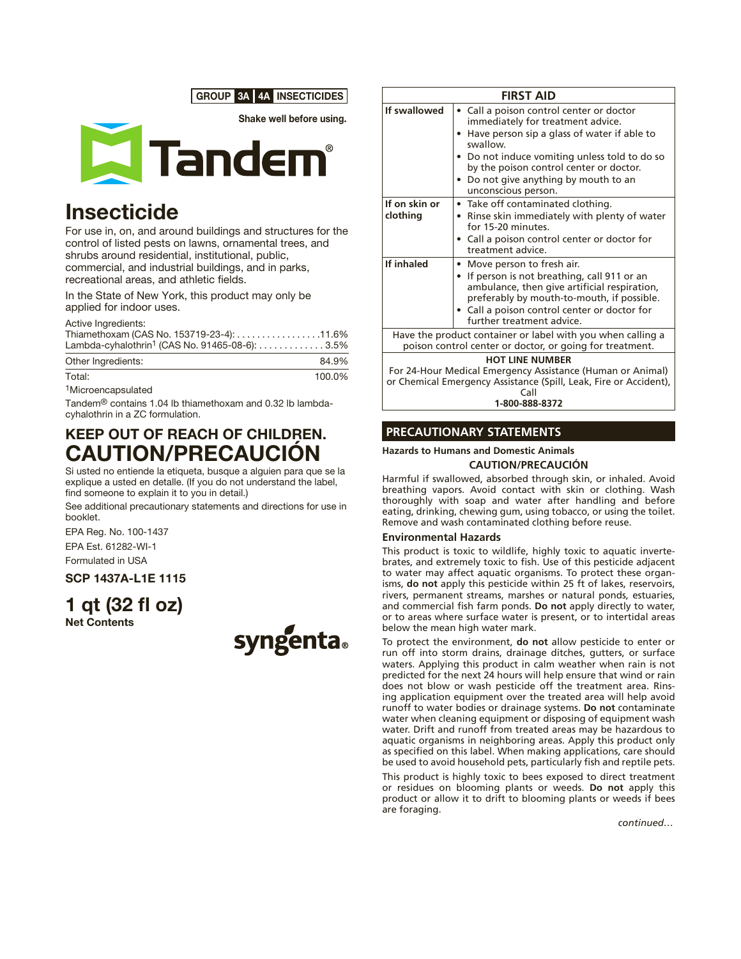



# **Insecticide**

For use in, on, and around buildings and structures for the control of listed pests on lawns, ornamental trees, and shrubs around residential, institutional, public, commercial, and industrial buildings, and in parks, recreational areas, and athletic fields.

In the State of New York, this product may only be applied for indoor uses.

Active Ingredients:

| Thiamethoxam (CAS No. 153719-23-4): 11.6%                  |  |
|------------------------------------------------------------|--|
| Lambda-cyhalothrin <sup>1</sup> (CAS No. 91465-08-6): 3.5% |  |

| Other Ingredients: | 84.9%  |
|--------------------|--------|
| Total:             | 100.0% |

<sup>1</sup>Microencapsulated

Tandem® contains 1.04 lb thiamethoxam and 0.32 lb lambdacyhalothrin in a ZC formulation.

## KEEP OUT OF REACH OF CHILDREN. CAUTION/PRECAUCIÓN

Si usted no entiende la etiqueta, busque a alguien para que se la explique a usted en detalle. (If you do not understand the label, find someone to explain it to you in detail.)

See additional precautionary statements and directions for use in booklet.

EPA Reg. No. 100-1437 EPA Est. 61282-WI-1

Formulated in USA

## SCP 1437A-L1E 1115

1 qt (32 fl oz) Net Contents



| <b>FIRST AID</b>                                                                                                                                                                    |                                                                                                                                                                                                                                                                                                        |  |
|-------------------------------------------------------------------------------------------------------------------------------------------------------------------------------------|--------------------------------------------------------------------------------------------------------------------------------------------------------------------------------------------------------------------------------------------------------------------------------------------------------|--|
| If swallowed                                                                                                                                                                        | • Call a poison control center or doctor<br>immediately for treatment advice.<br>• Have person sip a glass of water if able to<br>swallow.<br>• Do not induce vomiting unless told to do so<br>by the poison control center or doctor.<br>• Do not give anything by mouth to an<br>unconscious person. |  |
| If on skin or<br>clothing                                                                                                                                                           | • Take off contaminated clothing.<br>• Rinse skin immediately with plenty of water<br>for 15-20 minutes.<br>• Call a poison control center or doctor for<br>treatment advice.                                                                                                                          |  |
| If inhaled                                                                                                                                                                          | • Move person to fresh air.<br>• If person is not breathing, call 911 or an<br>ambulance, then give artificial respiration,<br>preferably by mouth-to-mouth, if possible.<br>• Call a poison control center or doctor for<br>further treatment advice.                                                 |  |
| Have the product container or label with you when calling a<br>poison control center or doctor, or going for treatment.                                                             |                                                                                                                                                                                                                                                                                                        |  |
| <b>HOT LINE NUMBER</b><br>For 24-Hour Medical Emergency Assistance (Human or Animal)<br>or Chemical Emergency Assistance (Spill, Leak, Fire or Accident),<br>Call<br>1-800-888-8372 |                                                                                                                                                                                                                                                                                                        |  |

## **PRECAUTIONARY STATEMENTS**

## **Hazards to Humans and Domestic Animals**

## **CAUTION/PRECAUCIÓN**

Harmful if swallowed, absorbed through skin, or inhaled. Avoid breathing vapors. Avoid contact with skin or clothing. Wash thoroughly with soap and water after handling and before eating, drinking, chewing gum, using tobacco, or using the toilet. Remove and wash contaminated clothing before reuse.

#### **Environmental Hazards**

This product is toxic to wildlife, highly toxic to aquatic invertebrates, and extremely toxic to fish. Use of this pesticide adjacent to water may affect aquatic organisms. To protect these organisms, **do not** apply this pesticide within 25 ft of lakes, reservoirs, rivers, permanent streams, marshes or natural ponds, estuaries, and commercial fish farm ponds. **Do not** apply directly to water, or to areas where surface water is present, or to intertidal areas below the mean high water mark.

To protect the environment, **do not** allow pesticide to enter or run off into storm drains, drainage ditches, gutters, or surface waters. Applying this product in calm weather when rain is not predicted for the next 24 hours will help ensure that wind or rain does not blow or wash pesticide off the treatment area. Rinsing application equipment over the treated area will help avoid runoff to water bodies or drainage systems. **Do not** contaminate water when cleaning equipment or disposing of equipment wash water. Drift and runoff from treated areas may be hazardous to aquatic organisms in neighboring areas. Apply this product only as specified on this label. When making applications, care should be used to avoid household pets, particularly fish and reptile pets.

This product is highly toxic to bees exposed to direct treatment or residues on blooming plants or weeds. **Do not** apply this product or allow it to drift to blooming plants or weeds if bees are foraging.

*continued…*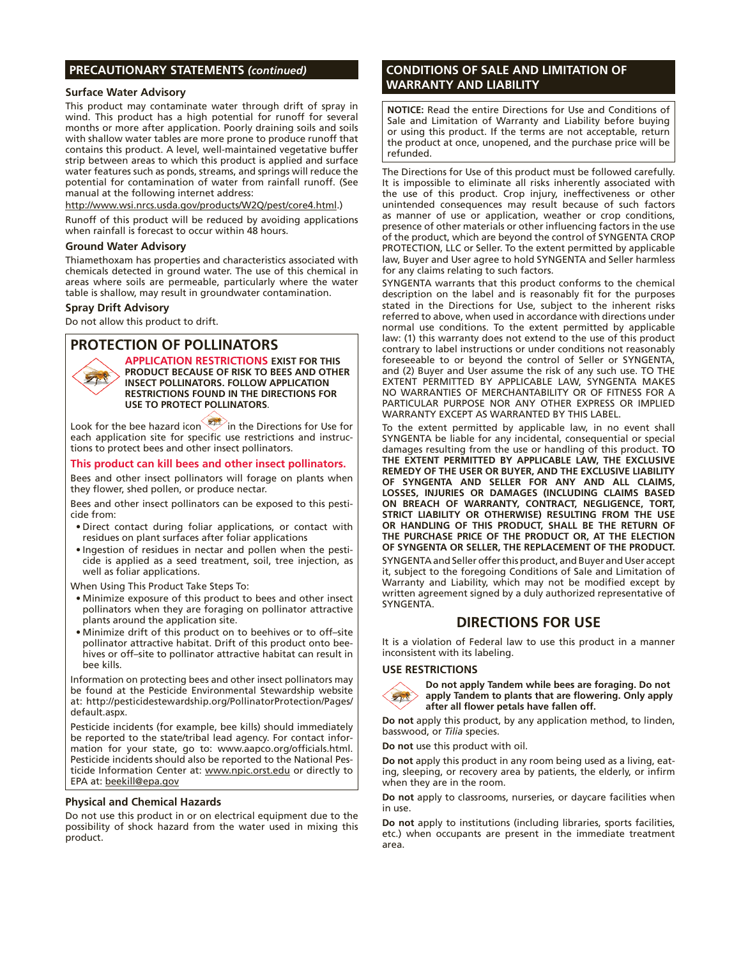## **PRECAUTIONARY STATEMENTS** *(continued)*

#### **Surface Water Advisory**

This product may contaminate water through drift of spray in wind. This product has a high potential for runoff for several months or more after application. Poorly draining soils and soils with shallow water tables are more prone to produce runoff that contains this product. A level, well-maintained vegetative buffer strip between areas to which this product is applied and surface water features such as ponds, streams, and springs will reduce the potential for contamination of water from rainfall runoff. (See manual at the following internet address:

http://www.wsi.nrcs.usda.gov/products/W2Q/pest/core4.html.)

Runoff of this product will be reduced by avoiding applications when rainfall is forecast to occur within 48 hours.

#### **Ground Water Advisory**

Thiamethoxam has properties and characteristics associated with chemicals detected in ground water. The use of this chemical in areas where soils are permeable, particularly where the water table is shallow, may result in groundwater contamination.

#### **Spray Drift Advisory**

 $\mathbf{y}_1$ 

Do not allow this product to drift.

## **PROTECTION OF POLLINATORS**

**APPLICATION RESTRICTIONS EXIST FOR THIS PRODUCT BECAUSE OF RISK TO BEES AND OTHER INSECT POLLINATORS. FOLLOW APPLICATION RESTRICTIONS FOUND IN THE DIRECTIONS FOR USE TO PROTECT POLLINATORS.**

Look for the bee hazard icon in the Directions for Use for each application site for specific use restrictions and instructions to protect bees and other insect pollinators.

#### **This product can kill bees and other insect pollinators.**

Bees and other insect pollinators will forage on plants when they flower, shed pollen, or produce nectar.

Bees and other insect pollinators can be exposed to this pesticide from:

- • Direct contact during foliar applications, or contact with residues on plant surfaces after foliar applications
- Ingestion of residues in nectar and pollen when the pesticide is applied as a seed treatment, soil, tree injection, as well as foliar applications.

When Using This Product Take Steps To:

- • Minimize exposure of this product to bees and other insect pollinators when they are foraging on pollinator attractive plants around the application site.
- • Minimize drift of this product on to beehives or to off–site pollinator attractive habitat. Drift of this product onto beehives or off–site to pollinator attractive habitat can result in bee kills.

Information on protecting bees and other insect pollinators may be found at the Pesticide Environmental Stewardship website at: http://pesticidestewardship.org/PollinatorProtection/Pages/ default.aspx.

Pesticide incidents (for example, bee kills) should immediately be reported to the state/tribal lead agency. For contact information for your state, go to: www.aapco.org/officials.html. Pesticide incidents should also be reported to the National Pesticide Information Center at: www.npic.orst.edu or directly to EPA at: beekill@epa.gov

#### **Physical and Chemical Hazards**

Do not use this product in or on electrical equipment due to the possibility of shock hazard from the water used in mixing this product.

## **CONDITIONS OF SALE AND LIMITATION OF WARRANTY AND LIABILITY**

**NOTICE:** Read the entire Directions for Use and Conditions of Sale and Limitation of Warranty and Liability before buying or using this product. If the terms are not acceptable, return the product at once, unopened, and the purchase price will be refunded.

The Directions for Use of this product must be followed carefully. It is impossible to eliminate all risks inherently associated with the use of this product. Crop injury, ineffectiveness or other unintended consequences may result because of such factors as manner of use or application, weather or crop conditions, presence of other materials or other influencing factors in the use of the product, which are beyond the control of SYNGENTA CROP PROTECTION, LLC or Seller. To the extent permitted by applicable law, Buyer and User agree to hold SYNGENTA and Seller harmless for any claims relating to such factors.

SYNGENTA warrants that this product conforms to the chemical description on the label and is reasonably fit for the purposes stated in the Directions for Use, subject to the inherent risks referred to above, when used in accordance with directions under normal use conditions. To the extent permitted by applicable law: (1) this warranty does not extend to the use of this product contrary to label instructions or under conditions not reasonably foreseeable to or beyond the control of Seller or SYNGENTA, and (2) Buyer and User assume the risk of any such use. TO THE EXTENT PERMITTED BY APPLICABLE LAW, SYNGENTA MAKES NO WARRANTIES OF MERCHANTABILITY OR OF FITNESS FOR A PARTICULAR PURPOSE NOR ANY OTHER EXPRESS OR IMPLIED WARRANTY EXCEPT AS WARRANTED BY THIS LABEL.

To the extent permitted by applicable law, in no event shall SYNGENTA be liable for any incidental, consequential or special damages resulting from the use or handling of this product. **TO THE EXTENT PERMITTED BY APPLICABLE LAW, THE EXCLUSIVE REMEDY OF THE USER OR BUYER, AND THE EXCLUSIVE LIABILITY OF SYNGENTA AND SELLER FOR ANY AND ALL CLAIMS, LOSSES, INJURIES OR DAMAGES (INCLUDING CLAIMS BASED ON BREACH OF WARRANTY, CONTRACT, NEGLIGENCE, TORT, STRICT LIABILITY OR OTHERWISE) RESULTING FROM THE USE OR HANDLING OF THIS PRODUCT, SHALL BE THE RETURN OF THE PURCHASE PRICE OF THE PRODUCT OR, AT THE ELECTION OF SYNGENTA OR SELLER, THE REPLACEMENT OF THE PRODUCT.** SYNGENTA and Seller offerthis product, and Buyer and User accept it, subject to the foregoing Conditions of Sale and Limitation of Warranty and Liability, which may not be modified except by written agreement signed by a duly authorized representative of SYNGENTA.

## **DIRECTIONS FOR USE**

It is a violation of Federal law to use this product in a manner inconsistent with its labeling.

#### **USE RESTRICTIONS**



**Do not apply Tandem while bees are foraging. Do not apply Tandem to plants that are flowering. Only apply after all flower petals have fallen off.**

**Do not** apply this product, by any application method, to linden, basswood, or *Tilia* species.

**Do not** use this product with oil.

**Do not** apply this product in any room being used as a living, eating, sleeping, or recovery area by patients, the elderly, or infirm when they are in the room.

**Do not** apply to classrooms, nurseries, or daycare facilities when in use.

**Do not** apply to institutions (including libraries, sports facilities, etc.) when occupants are present in the immediate treatment area.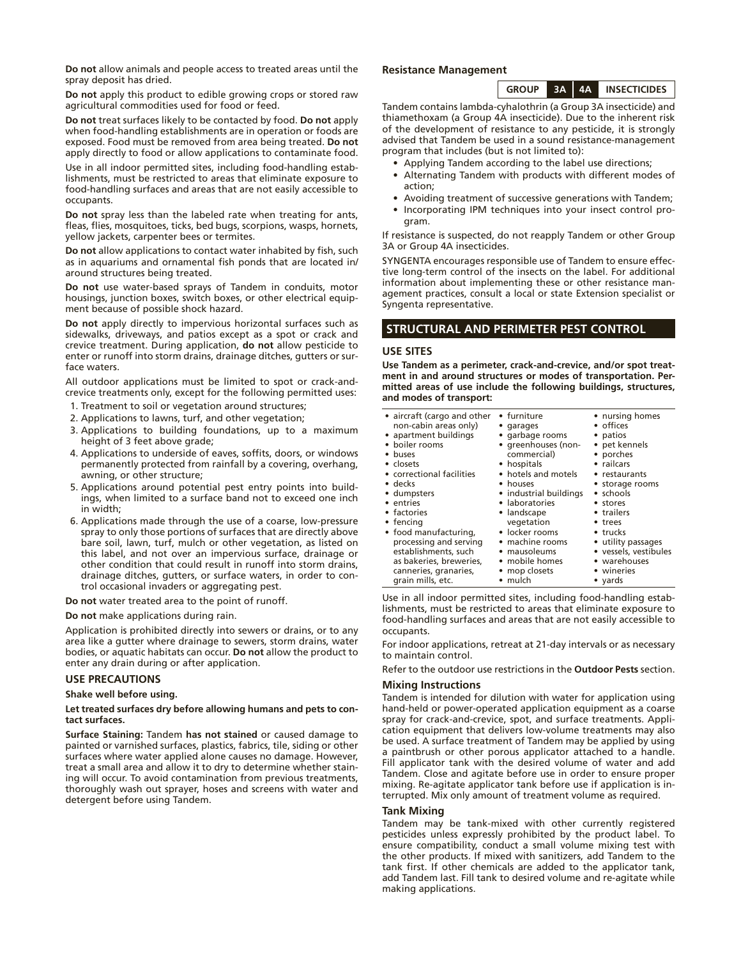**Do not** allow animals and people access to treated areas until the spray deposit has dried.

**Do not** apply this product to edible growing crops or stored raw agricultural commodities used for food or feed.

**Do not** treat surfaces likely to be contacted by food. **Do not** apply when food-handling establishments are in operation or foods are exposed. Food must be removed from area being treated. **Do not** apply directly to food or allow applications to contaminate food.

Use in all indoor permitted sites, including food-handling establishments, must be restricted to areas that eliminate exposure to food-handling surfaces and areas that are not easily accessible to occupants.

**Do not** spray less than the labeled rate when treating for ants, fleas, flies, mosquitoes, ticks, bed bugs, scorpions, wasps, hornets, yellow jackets, carpenter bees or termites.

**Do not** allow applications to contact water inhabited by fish, such as in aquariums and ornamental fish ponds that are located in/ around structures being treated.

**Do not** use water-based sprays of Tandem in conduits, motor housings, junction boxes, switch boxes, or other electrical equipment because of possible shock hazard.

**Do not** apply directly to impervious horizontal surfaces such as sidewalks, driveways, and patios except as a spot or crack and crevice treatment. During application, **do not** allow pesticide to enter or runoff into storm drains, drainage ditches, gutters or surface waters.

All outdoor applications must be limited to spot or crack-andcrevice treatments only, except for the following permitted uses:

- 1. Treatment to soil or vegetation around structures;
- 2. Applications to lawns, turf, and other vegetation;
- 3. Applications to building foundations, up to a maximum height of 3 feet above grade;
- 4. Applications to underside of eaves, soffits, doors, or windows permanently protected from rainfall by a covering, overhang, awning, or other structure;
- 5. Applications around potential pest entry points into buildings, when limited to a surface band not to exceed one inch in width;
- 6. Applications made through the use of a coarse, low-pressure spray to only those portions of surfaces that are directly above bare soil, lawn, turf, mulch or other vegetation, as listed on this label, and not over an impervious surface, drainage or other condition that could result in runoff into storm drains, drainage ditches, gutters, or surface waters, in order to control occasional invaders or aggregating pest.
- **Do not** water treated area to the point of runoff.

**Do not** make applications during rain.

Application is prohibited directly into sewers or drains, or to any area like a gutter where drainage to sewers, storm drains, water bodies, or aquatic habitats can occur. **Do not** allow the product to enter any drain during or after application.

#### **USE PRECAUTIONS**

#### **Shake well before using.**

#### **Let treated surfaces dry before allowing humans and pets to contact surfaces.**

**Surface Staining:** Tandem **has not stained** or caused damage to painted or varnished surfaces, plastics, fabrics, tile, siding or other surfaces where water applied alone causes no damage. However, treat a small area and allow it to dry to determine whether staining will occur. To avoid contamination from previous treatments, thoroughly wash out sprayer, hoses and screens with water and detergent before using Tandem.

#### **Resistance Management**

**GROUP 3A 4A INSECTICIDES**

Tandem contains lambda-cyhalothrin (a Group 3A insecticide) and thiamethoxam (a Group 4A insecticide). Due to the inherent risk of the development of resistance to any pesticide, it is strongly advised that Tandem be used in a sound resistance-management program that includes (but is not limited to):

- Applying Tandem according to the label use directions;
- • Alternating Tandem with products with different modes of action;
- Avoiding treatment of successive generations with Tandem;
- Incorporating IPM techniques into your insect control program.

If resistance is suspected, do not reapply Tandem or other Group 3A or Group 4A insecticides.

SYNGENTA encourages responsible use of Tandem to ensure effective long-term control of the insects on the label. For additional information about implementing these or other resistance management practices, consult a local or state Extension specialist or Syngenta representative.

#### **STRUCTURAL AND PERIMETER PEST CONTROL**

#### **USE SITES**

**Use Tandem as a perimeter, crack-and-crevice, and/or spot treatment in and around structures or modes of transportation. Permitted areas of use include the following buildings, structures, and modes of transport:**

| • aircraft (cargo and other | • furniture            | • nursing homes       |
|-----------------------------|------------------------|-----------------------|
| non-cabin areas only)       | • garages              | • offices             |
| • apartment buildings       | • garbage rooms        | • patios              |
| • boiler rooms              | • greenhouses (non-    | • pet kennels         |
| • buses                     | commercial)            | • porches             |
| • closets                   | • hospitals            | • railcars            |
| • correctional facilities   | • hotels and motels    | • restaurants         |
| • decks                     | • houses               | • storage rooms       |
| • dumpsters                 | • industrial buildings | • schools             |
| • entries                   | • laboratories         | • stores              |
| • factories                 | • landscape            | • trailers            |
| $\bullet$ fencing           | vegetation             | • trees               |
| • food manufacturing,       | • locker rooms         | $\bullet$ trucks      |
| processing and serving      | • machine rooms        | • utility passages    |
| establishments, such        | • mausoleums           | • vessels, vestibules |
| as bakeries, breweries,     | • mobile homes         | • warehouses          |
| canneries, granaries,       | • mop closets          | • wineries            |
| grain mills, etc.           | $\cdot$ mulch          | • yards               |

Use in all indoor permitted sites, including food-handling establishments, must be restricted to areas that eliminate exposure to food-handling surfaces and areas that are not easily accessible to occupants.

For indoor applications, retreat at 21-day intervals or as necessary to maintain control.

Refer to the outdoor use restrictions in the **Outdoor Pests** section.

#### **Mixing Instructions**

Tandem is intended for dilution with water for application using hand-held or power-operated application equipment as a coarse spray for crack-and-crevice, spot, and surface treatments. Application equipment that delivers low-volume treatments may also be used. A surface treatment of Tandem may be applied by using a paintbrush or other porous applicator attached to a handle. Fill applicator tank with the desired volume of water and add Tandem. Close and agitate before use in order to ensure proper mixing. Re-agitate applicator tank before use if application is interrupted. Mix only amount of treatment volume as required.

#### **Tank Mixing**

Tandem may be tank-mixed with other currently registered pesticides unless expressly prohibited by the product label. To ensure compatibility, conduct a small volume mixing test with the other products. If mixed with sanitizers, add Tandem to the tank first. If other chemicals are added to the applicator tank, add Tandem last. Fill tank to desired volume and re-agitate while making applications.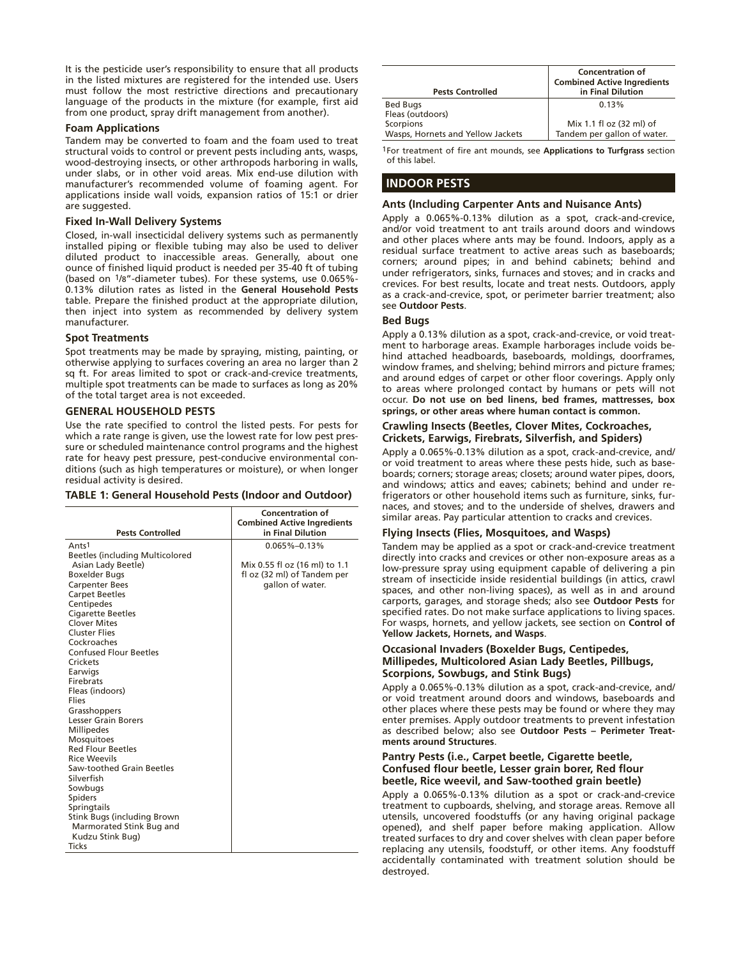It is the pesticide user's responsibility to ensure that all products in the listed mixtures are registered for the intended use. Users must follow the most restrictive directions and precautionary language of the products in the mixture (for example, first aid from one product, spray drift management from another).

#### **Foam Applications**

Tandem may be converted to foam and the foam used to treat structural voids to control or prevent pests including ants, wasps, wood-destroying insects, or other arthropods harboring in walls, under slabs, or in other void areas. Mix end-use dilution with manufacturer's recommended volume of foaming agent. For applications inside wall voids, expansion ratios of 15:1 or drier are suggested.

## **Fixed In-Wall Delivery Systems**

Closed, in-wall insecticidal delivery systems such as permanently installed piping or flexible tubing may also be used to deliver diluted product to inaccessible areas. Generally, about one ounce of finished liquid product is needed per 35-40 ft of tubing (based on 1/8"-diameter tubes). For these systems, use 0.065%- 0.13% dilution rates as listed in the **General Household Pests** table. Prepare the finished product at the appropriate dilution, then inject into system as recommended by delivery system manufacturer.

#### **Spot Treatments**

Spot treatments may be made by spraying, misting, painting, or otherwise applying to surfaces covering an area no larger than 2 sq ft. For areas limited to spot or crack-and-crevice treatments, multiple spot treatments can be made to surfaces as long as 20% of the total target area is not exceeded.

#### **GENERAL HOUSEHOLD PESTS**

Use the rate specified to control the listed pests. For pests for which a rate range is given, use the lowest rate for low pest pressure or scheduled maintenance control programs and the highest rate for heavy pest pressure, pest-conducive environmental conditions (such as high temperatures or moisture), or when longer residual activity is desired.

#### **TABLE 1: General Household Pests (Indoor and Outdoor)**

|                                         | <b>Concentration of</b><br><b>Combined Active Ingredients</b> |
|-----------------------------------------|---------------------------------------------------------------|
| <b>Pests Controlled</b>                 | in Final Dilution                                             |
| Ants <sup>1</sup>                       | $0.065\% - 0.13\%$                                            |
| <b>Beetles (including Multicolored)</b> |                                                               |
| Asian Lady Beetle)                      | Mix 0.55 fl oz (16 ml) to 1.1                                 |
| <b>Boxelder Bugs</b>                    | fl oz (32 ml) of Tandem per                                   |
| <b>Carpenter Bees</b>                   | gallon of water.                                              |
| <b>Carpet Beetles</b>                   |                                                               |
| Centipedes                              |                                                               |
| <b>Cigarette Beetles</b>                |                                                               |
| <b>Clover Mites</b>                     |                                                               |
| <b>Cluster Flies</b>                    |                                                               |
| Cockroaches                             |                                                               |
| <b>Confused Flour Beetles</b>           |                                                               |
| Crickets                                |                                                               |
| Earwigs                                 |                                                               |
| Firebrats                               |                                                               |
| Fleas (indoors)                         |                                                               |
| Flies                                   |                                                               |
| Grasshoppers                            |                                                               |
| <b>Lesser Grain Borers</b>              |                                                               |
| <b>Millipedes</b>                       |                                                               |
| <b>Mosquitoes</b>                       |                                                               |
| <b>Red Flour Beetles</b>                |                                                               |
| <b>Rice Weevils</b>                     |                                                               |
| Saw-toothed Grain Beetles               |                                                               |
| Silverfish                              |                                                               |
| Sowbugs                                 |                                                               |
| <b>Spiders</b>                          |                                                               |
| Springtails                             |                                                               |
| Stink Bugs (including Brown             |                                                               |
| Marmorated Stink Bug and                |                                                               |
| Kudzu Stink Bug)                        |                                                               |
| <b>Ticks</b>                            |                                                               |
|                                         |                                                               |

| <b>Pests Controlled</b>                        | <b>Concentration of</b><br><b>Combined Active Ingredients</b><br>in Final Dilution |
|------------------------------------------------|------------------------------------------------------------------------------------|
| <b>Bed Bugs</b><br>Fleas (outdoors)            | 0.13%                                                                              |
| Scorpions<br>Wasps, Hornets and Yellow Jackets | Mix 1.1 fl oz (32 ml) of<br>Tandem per gallon of water.                            |

1For treatment of fire ant mounds, see **Applications to Turfgrass** section of this label.

## **INDOOR PESTS**

#### **Ants (Including Carpenter Ants and Nuisance Ants)**

Apply a 0.065%-0.13% dilution as a spot, crack-and-crevice, and/or void treatment to ant trails around doors and windows and other places where ants may be found. Indoors, apply as a residual surface treatment to active areas such as baseboards; corners; around pipes; in and behind cabinets; behind and under refrigerators, sinks, furnaces and stoves; and in cracks and crevices. For best results, locate and treat nests. Outdoors, apply as a crack-and-crevice, spot, or perimeter barrier treatment; also see **Outdoor Pests**.

#### **Bed Bugs**

Apply a 0.13% dilution as a spot, crack-and-crevice, or void treatment to harborage areas. Example harborages include voids behind attached headboards, baseboards, moldings, doorframes, window frames, and shelving; behind mirrors and picture frames; and around edges of carpet or other floor coverings. Apply only to areas where prolonged contact by humans or pets will not occur. **Do not use on bed linens, bed frames, mattresses, box springs, or other areas where human contact is common.**

#### **Crawling Insects (Beetles, Clover Mites, Cockroaches, Crickets, Earwigs, Firebrats, Silverfish, and Spiders)**

Apply a 0.065%-0.13% dilution as a spot, crack-and-crevice, and/ or void treatment to areas where these pests hide, such as baseboards; corners; storage areas; closets; around water pipes, doors, and windows; attics and eaves; cabinets; behind and under refrigerators or other household items such as furniture, sinks, furnaces, and stoves; and to the underside of shelves, drawers and similar areas. Pay particular attention to cracks and crevices.

#### **Flying Insects (Flies, Mosquitoes, and Wasps)**

Tandem may be applied as a spot or crack-and-crevice treatment directly into cracks and crevices or other non-exposure areas as a low-pressure spray using equipment capable of delivering a pin stream of insecticide inside residential buildings (in attics, crawl spaces, and other non-living spaces), as well as in and around carports, garages, and storage sheds; also see **Outdoor Pests** for specified rates. Do not make surface applications to living spaces. For wasps, hornets, and yellow jackets, see section on **Control of Yellow Jackets, Hornets, and Wasps**.

#### **Occasional Invaders (Boxelder Bugs, Centipedes, Millipedes, Multicolored Asian Lady Beetles, Pillbugs, Scorpions, Sowbugs, and Stink Bugs)**

Apply a 0.065%-0.13% dilution as a spot, crack-and-crevice, and/ or void treatment around doors and windows, baseboards and other places where these pests may be found or where they may enter premises. Apply outdoor treatments to prevent infestation as described below; also see **Outdoor Pests – Perimeter Treatments around Structures**.

#### **Pantry Pests (i.e., Carpet beetle, Cigarette beetle, Confused flour beetle, Lesser grain borer, Red flour beetle, Rice weevil, and Saw-toothed grain beetle)**

Apply a 0.065%-0.13% dilution as a spot or crack-and-crevice treatment to cupboards, shelving, and storage areas. Remove all utensils, uncovered foodstuffs (or any having original package opened), and shelf paper before making application. Allow treated surfaces to dry and cover shelves with clean paper before replacing any utensils, foodstuff, or other items. Any foodstuff accidentally contaminated with treatment solution should be destroyed.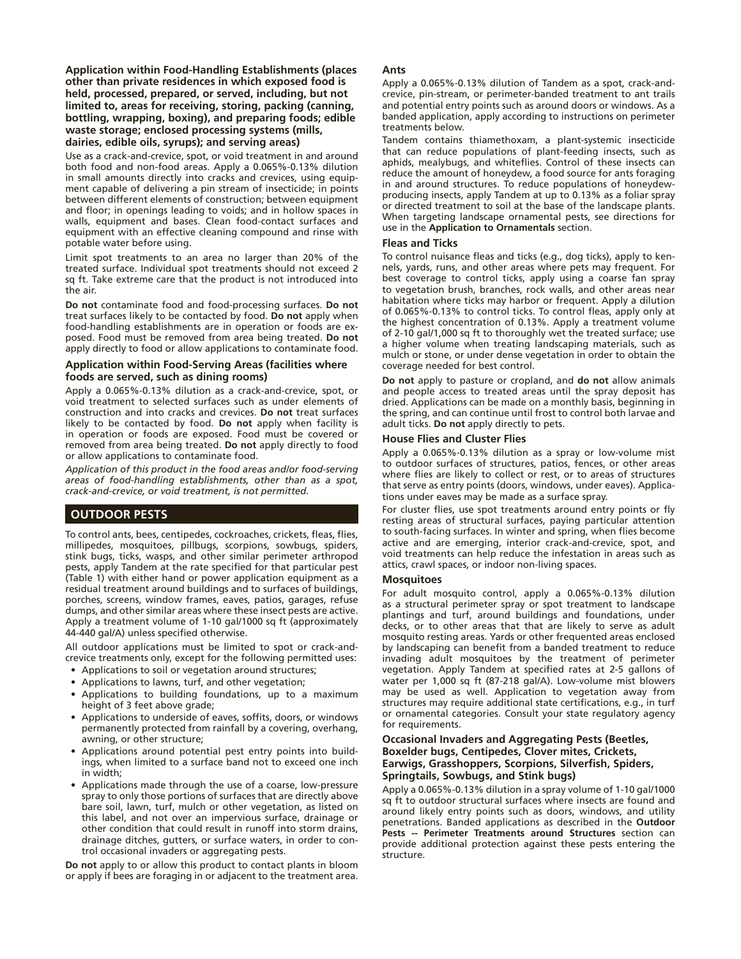**Application within Food-Handling Establishments (places other than private residences in which exposed food is held, processed, prepared, or served, including, but not limited to, areas for receiving, storing, packing (canning, bottling, wrapping, boxing), and preparing foods; edible waste storage; enclosed processing systems (mills, dairies, edible oils, syrups); and serving areas)**

Use as a crack-and-crevice, spot, or void treatment in and around both food and non-food areas. Apply a 0.065%-0.13% dilution in small amounts directly into cracks and crevices, using equipment capable of delivering a pin stream of insecticide; in points between different elements of construction; between equipment and floor; in openings leading to voids; and in hollow spaces in walls, equipment and bases. Clean food-contact surfaces and equipment with an effective cleaning compound and rinse with potable water before using.

Limit spot treatments to an area no larger than 20% of the treated surface. Individual spot treatments should not exceed 2 sq ft. Take extreme care that the product is not introduced into the air.

**Do not** contaminate food and food-processing surfaces. **Do not** treat surfaces likely to be contacted by food. **Do not** apply when food-handling establishments are in operation or foods are exposed. Food must be removed from area being treated. **Do not** apply directly to food or allow applications to contaminate food.

#### **Application within Food-Serving Areas (facilities where foods are served, such as dining rooms)**

Apply a 0.065%-0.13% dilution as a crack-and-crevice, spot, or void treatment to selected surfaces such as under elements of construction and into cracks and crevices. **Do not** treat surfaces likely to be contacted by food. **Do not** apply when facility is in operation or foods are exposed. Food must be covered or removed from area being treated. **Do not** apply directly to food or allow applications to contaminate food.

*Application of this product in the food areas and/or food-serving areas of food-handling establishments, other than as a spot, crack-and-crevice, or void treatment, is not permitted.*

## **OUTDOOR PESTS**

To control ants, bees, centipedes, cockroaches, crickets, fleas, flies, millipedes, mosquitoes, pillbugs, scorpions, sowbugs, spiders, stink bugs, ticks, wasps, and other similar perimeter arthropod pests, apply Tandem at the rate specified for that particular pest (Table 1) with either hand or power application equipment as a residual treatment around buildings and to surfaces of buildings, porches, screens, window frames, eaves, patios, garages, refuse dumps, and other similar areas where these insect pests are active. Apply a treatment volume of 1-10 gal/1000 sq ft (approximately 44-440 gal/A) unless specified otherwise.

All outdoor applications must be limited to spot or crack-andcrevice treatments only, except for the following permitted uses:

- • Applications to soil or vegetation around structures;
- • Applications to lawns, turf, and other vegetation;
- • Applications to building foundations, up to a maximum height of 3 feet above grade;
- • Applications to underside of eaves, soffits, doors, or windows permanently protected from rainfall by a covering, overhang, awning, or other structure;
- Applications around potential pest entry points into buildings, when limited to a surface band not to exceed one inch in width;
- • Applications made through the use of a coarse, low-pressure spray to only those portions of surfaces that are directly above bare soil, lawn, turf, mulch or other vegetation, as listed on this label, and not over an impervious surface, drainage or other condition that could result in runoff into storm drains, drainage ditches, gutters, or surface waters, in order to control occasional invaders or aggregating pests.

**Do not** apply to or allow this product to contact plants in bloom or apply if bees are foraging in or adjacent to the treatment area.

#### **Ants**

Apply a 0.065%-0.13% dilution of Tandem as a spot, crack-andcrevice, pin-stream, or perimeter-banded treatment to ant trails and potential entry points such as around doors or windows. As a banded application, apply according to instructions on perimeter treatments below.

Tandem contains thiamethoxam, a plant-systemic insecticide that can reduce populations of plant-feeding insects, such as aphids, mealybugs, and whiteflies. Control of these insects can reduce the amount of honeydew, a food source for ants foraging in and around structures. To reduce populations of honeydewproducing insects, apply Tandem at up to 0.13% as a foliar spray or directed treatment to soil at the base of the landscape plants. When targeting landscape ornamental pests, see directions for use in the **Application to Ornamentals** section.

#### **Fleas and Ticks**

To control nuisance fleas and ticks (e.g., dog ticks), apply to kennels, yards, runs, and other areas where pets may frequent. For best coverage to control ticks, apply using a coarse fan spray to vegetation brush, branches, rock walls, and other areas near habitation where ticks may harbor or frequent. Apply a dilution of 0.065%-0.13% to control ticks. To control fleas, apply only at the highest concentration of 0.13%. Apply a treatment volume of 2-10 gal/1,000 sq ft to thoroughly wet the treated surface; use a higher volume when treating landscaping materials, such as mulch or stone, or under dense vegetation in order to obtain the coverage needed for best control.

**Do not** apply to pasture or cropland, and **do not** allow animals and people access to treated areas until the spray deposit has dried. Applications can be made on a monthly basis, beginning in the spring, and can continue until frost to control both larvae and adult ticks. **Do not** apply directly to pets.

#### **House Flies and Cluster Flies**

Apply a 0.065%-0.13% dilution as a spray or low-volume mist to outdoor surfaces of structures, patios, fences, or other areas where flies are likely to collect or rest, or to areas of structures that serve as entry points (doors, windows, under eaves). Applications under eaves may be made as a surface spray.

For cluster flies, use spot treatments around entry points or fly resting areas of structural surfaces, paying particular attention to south-facing surfaces. In winter and spring, when flies become active and are emerging, interior crack-and-crevice, spot, and void treatments can help reduce the infestation in areas such as attics, crawl spaces, or indoor non-living spaces.

#### **Mosquitoes**

For adult mosquito control, apply a 0.065%-0.13% dilution as a structural perimeter spray or spot treatment to landscape plantings and turf, around buildings and foundations, under decks, or to other areas that that are likely to serve as adult mosquito resting areas. Yards or other frequented areas enclosed by landscaping can benefit from a banded treatment to reduce invading adult mosquitoes by the treatment of perimeter vegetation. Apply Tandem at specified rates at 2-5 gallons of water per 1,000 sq ft (87-218 gal/A). Low-volume mist blowers may be used as well. Application to vegetation away from structures may require additional state certifications, e.g., in turf or ornamental categories. Consult your state regulatory agency for requirements.

#### **Occasional Invaders and Aggregating Pests (Beetles, Boxelder bugs, Centipedes, Clover mites, Crickets, Earwigs, Grasshoppers, Scorpions, Silverfish, Spiders, Springtails, Sowbugs, and Stink bugs)**

Apply a 0.065%-0.13% dilution in a spray volume of 1-10 gal/1000 sq ft to outdoor structural surfaces where insects are found and around likely entry points such as doors, windows, and utility penetrations. Banded applications as described in the **Outdoor Pests -- Perimeter Treatments around Structures** section can provide additional protection against these pests entering the structure.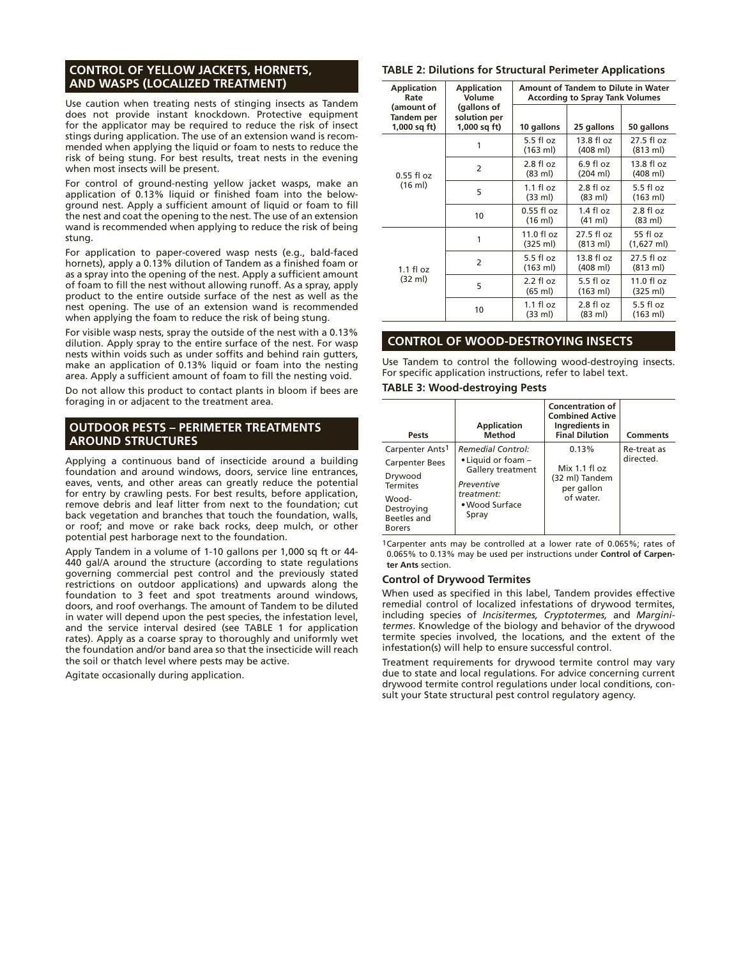## **CONTROL OF YELLOW JACKETS, HORNETS, AND WASPS (LOCALIZED TREATMENT)**

Use caution when treating nests of stinging insects as Tandem does not provide instant knockdown. Protective equipment for the applicator may be required to reduce the risk of insect stings during application. The use of an extension wand is recommended when applying the liquid or foam to nests to reduce the risk of being stung. For best results, treat nests in the evening when most insects will be present.

For control of ground-nesting yellow jacket wasps, make an application of 0.13% liquid or finished foam into the belowground nest. Apply a sufficient amount of liquid or foam to fill the nest and coat the opening to the nest. The use of an extension wand is recommended when applying to reduce the risk of being stung.

For application to paper-covered wasp nests (e.g., bald-faced hornets), apply a 0.13% dilution of Tandem as a finished foam or as a spray into the opening of the nest. Apply a sufficient amount of foam to fill the nest without allowing runoff. As a spray, apply product to the entire outside surface of the nest as well as the nest opening. The use of an extension wand is recommended when applying the foam to reduce the risk of being stung.

For visible wasp nests, spray the outside of the nest with a 0.13% dilution. Apply spray to the entire surface of the nest. For wasp nests within voids such as under soffits and behind rain gutters, make an application of 0.13% liquid or foam into the nesting area. Apply a sufficient amount of foam to fill the nesting void.

Do not allow this product to contact plants in bloom if bees are foraging in or adjacent to the treatment area.

## **OUTDOOR PESTS – PERIMETER TREATMENTS AROUND STRUCTURES**

Applying a continuous band of insecticide around a building foundation and around windows, doors, service line entrances, eaves, vents, and other areas can greatly reduce the potential for entry by crawling pests. For best results, before application, remove debris and leaf litter from next to the foundation; cut back vegetation and branches that touch the foundation, walls, or roof; and move or rake back rocks, deep mulch, or other potential pest harborage next to the foundation.

Apply Tandem in a volume of 1-10 gallons per 1,000 sq ft or 44- 440 gal/A around the structure (according to state regulations governing commercial pest control and the previously stated restrictions on outdoor applications) and upwards along the foundation to 3 feet and spot treatments around windows, doors, and roof overhangs. The amount of Tandem to be diluted in water will depend upon the pest species, the infestation level, and the service interval desired (see TABLE 1 for application rates). Apply as a coarse spray to thoroughly and uniformly wet the foundation and/or band area so that the insecticide will reach the soil or thatch level where pests may be active.

Agitate occasionally during application.

## **TABLE 2: Dilutions for Structural Perimeter Applications**

| <b>Application</b><br>Rate | <b>Application</b><br>Volume                              | Amount of Tandem to Dilute in Water<br><b>According to Spray Tank Volumes</b> |                                            |                                            |
|----------------------------|-----------------------------------------------------------|-------------------------------------------------------------------------------|--------------------------------------------|--------------------------------------------|
| Tandem per<br>1,000 sq ft) | (gallons of<br>(amount of<br>solution per<br>1,000 sq ft) |                                                                               | 25 gallons                                 | 50 gallons                                 |
| $0.55$ fl oz<br>(16 ml)    | 1                                                         | $5.5$ fl oz<br>(163 ml)                                                       | $13.8 \text{ fl oz}$<br>$(408 \text{ ml})$ | 27.5 fl oz<br>$(813 \text{ ml})$           |
|                            | 2                                                         | $2.8 \text{ fl oz}$<br>(83 ml)                                                | $6.9f$ l oz<br>(204 ml)                    | $13.8 \text{ fl oz}$<br>$(408 \text{ ml})$ |
|                            | 5                                                         | $1.1$ fl oz<br>(33 ml)                                                        | $2.8 f$ l oz<br>(83 ml)                    | $5.5$ fl oz<br>$(163 \text{ ml})$          |
|                            | 10                                                        | $0.55$ fl oz<br>$(16 \text{ ml})$                                             | $1.4$ fl oz<br>(41 ml)                     | $2.8 f$ l oz<br>$(83 \text{ ml})$          |
| $1.1$ fl oz<br>(32 ml)     | 1                                                         | $11.0 \text{ fl oz}$<br>(325 ml)                                              | 27.5 fl oz<br>$(813 \text{ ml})$           | 55 fl oz<br>(1,627 ml)                     |
|                            | 2                                                         | $5.5$ fl oz<br>$(163 \text{ ml})$                                             | 13.8 fl oz<br>$(408 \text{ ml})$           | 27.5 fl oz<br>$(813 \text{ ml})$           |
|                            | 5                                                         | $2.2$ fl oz<br>(65 ml)                                                        | $5.5f$ loz<br>(163 ml)                     | $11.0 \text{ fl oz}$<br>(325 ml)           |
|                            | 10                                                        | $1.1$ fl oz<br>$(33 \text{ ml})$                                              | $2.8 f$ l oz<br>$(83 \text{ ml})$          | $5.5$ fl oz<br>$(163 \text{ ml})$          |

## **CONTROL OF WOOD-DESTROYING INSECTS**

Use Tandem to control the following wood-destroying insects. For specific application instructions, refer to label text.

#### **TABLE 3: Wood-destroying Pests**

| Pests                                                                                                                                     | <b>Application</b><br><b>Method</b>                                                                                                         | <b>Concentration of</b><br><b>Combined Active</b><br>Ingredients in<br><b>Final Dilution</b> | <b>Comments</b>          |
|-------------------------------------------------------------------------------------------------------------------------------------------|---------------------------------------------------------------------------------------------------------------------------------------------|----------------------------------------------------------------------------------------------|--------------------------|
| Carpenter Ants <sup>1</sup><br><b>Carpenter Bees</b><br>Drywood<br><b>Termites</b><br>Wood-<br>Destroying<br>Beetles and<br><b>Borers</b> | <b>Remedial Control:</b><br>$\bullet$ Liquid or foam $-$<br><b>Gallery treatment</b><br>Preventive<br>treatment:<br>• Wood Surface<br>Spray | 0.13%<br>Mix 1.1 fl oz<br>(32 ml) Tandem<br>per gallon<br>of water.                          | Re-treat as<br>directed. |

1Carpenter ants may be controlled at a lower rate of 0.065%; rates of 0.065% to 0.13% may be used per instructions under **Control of Carpenter Ants** section.

#### **Control of Drywood Termites**

When used as specified in this label, Tandem provides effective remedial control of localized infestations of drywood termites, including species of *Incisitermes, Cryptotermes,* and *Marginitermes*. Knowledge of the biology and behavior of the drywood termite species involved, the locations, and the extent of the infestation(s) will help to ensure successful control.

Treatment requirements for drywood termite control may vary due to state and local regulations. For advice concerning current drywood termite control regulations under local conditions, consult your State structural pest control regulatory agency.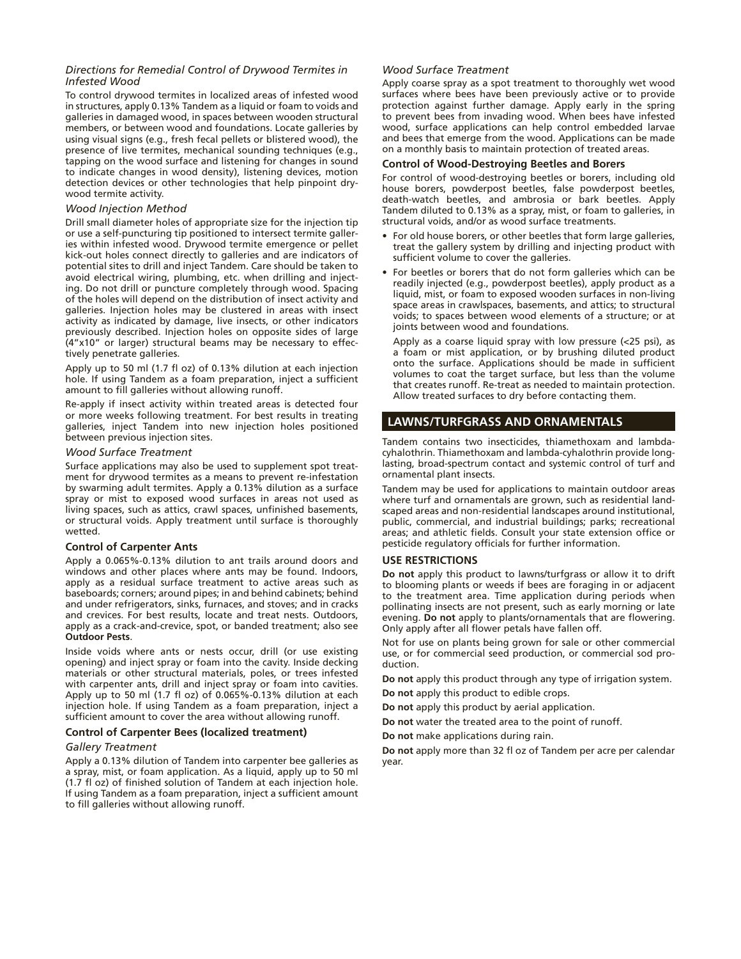#### *Directions for Remedial Control of Drywood Termites in Infested Wood*

To control drywood termites in localized areas of infested wood in structures, apply 0.13% Tandem as a liquid or foam to voids and galleries in damaged wood, in spaces between wooden structural members, or between wood and foundations. Locate galleries by using visual signs (e.g., fresh fecal pellets or blistered wood), the presence of live termites, mechanical sounding techniques (e.g., tapping on the wood surface and listening for changes in sound to indicate changes in wood density), listening devices, motion detection devices or other technologies that help pinpoint drywood termite activity.

#### *Wood Injection Method*

Drill small diameter holes of appropriate size for the injection tip or use a self-puncturing tip positioned to intersect termite galleries within infested wood. Drywood termite emergence or pellet kick-out holes connect directly to galleries and are indicators of potential sites to drill and inject Tandem. Care should be taken to avoid electrical wiring, plumbing, etc. when drilling and injecting. Do not drill or puncture completely through wood. Spacing of the holes will depend on the distribution of insect activity and galleries. Injection holes may be clustered in areas with insect activity as indicated by damage, live insects, or other indicators previously described. Injection holes on opposite sides of large (4"x10" or larger) structural beams may be necessary to effectively penetrate galleries.

Apply up to 50 ml (1.7 fl oz) of 0.13% dilution at each injection hole. If using Tandem as a foam preparation, inject a sufficient amount to fill galleries without allowing runoff.

Re-apply if insect activity within treated areas is detected four or more weeks following treatment. For best results in treating galleries, inject Tandem into new injection holes positioned between previous injection sites.

#### *Wood Surface Treatment*

Surface applications may also be used to supplement spot treatment for drywood termites as a means to prevent re-infestation by swarming adult termites. Apply a 0.13% dilution as a surface spray or mist to exposed wood surfaces in areas not used as living spaces, such as attics, crawl spaces, unfinished basements, or structural voids. Apply treatment until surface is thoroughly wetted.

#### **Control of Carpenter Ants**

Apply a 0.065%-0.13% dilution to ant trails around doors and windows and other places where ants may be found. Indoors, apply as a residual surface treatment to active areas such as baseboards; corners; around pipes; in and behind cabinets; behind and under refrigerators, sinks, furnaces, and stoves; and in cracks and crevices. For best results, locate and treat nests. Outdoors, apply as a crack-and-crevice, spot, or banded treatment; also see **Outdoor Pests**.

Inside voids where ants or nests occur, drill (or use existing opening) and inject spray or foam into the cavity. Inside decking materials or other structural materials, poles, or trees infested with carpenter ants, drill and inject spray or foam into cavities. Apply up to 50 ml (1.7 fl oz) of 0.065%-0.13% dilution at each injection hole. If using Tandem as a foam preparation, inject a sufficient amount to cover the area without allowing runoff.

#### **Control of Carpenter Bees (localized treatment)**

#### *Gallery Treatment*

Apply a 0.13% dilution of Tandem into carpenter bee galleries as a spray, mist, or foam application. As a liquid, apply up to 50 ml (1.7 fl oz) of finished solution of Tandem at each injection hole. If using Tandem as a foam preparation, inject a sufficient amount to fill galleries without allowing runoff.

#### *Wood Surface Treatment*

Apply coarse spray as a spot treatment to thoroughly wet wood surfaces where bees have been previously active or to provide protection against further damage. Apply early in the spring to prevent bees from invading wood. When bees have infested wood, surface applications can help control embedded larvae and bees that emerge from the wood. Applications can be made on a monthly basis to maintain protection of treated areas.

### **Control of Wood-Destroying Beetles and Borers**

For control of wood-destroying beetles or borers, including old house borers, powderpost beetles, false powderpost beetles, death-watch beetles, and ambrosia or bark beetles. Apply Tandem diluted to 0.13% as a spray, mist, or foam to galleries, in structural voids, and/or as wood surface treatments.

- For old house borers, or other beetles that form large galleries, treat the gallery system by drilling and injecting product with sufficient volume to cover the galleries.
- For beetles or borers that do not form galleries which can be readily injected (e.g., powderpost beetles), apply product as a liquid, mist, or foam to exposed wooden surfaces in non-living space areas in crawlspaces, basements, and attics; to structural voids; to spaces between wood elements of a structure; or at joints between wood and foundations.

Apply as a coarse liquid spray with low pressure (<25 psi), as a foam or mist application, or by brushing diluted product onto the surface. Applications should be made in sufficient volumes to coat the target surface, but less than the volume that creates runoff. Re-treat as needed to maintain protection. Allow treated surfaces to dry before contacting them.

### **LAWNS/TURFGRASS AND ORNAMENTALS**

Tandem contains two insecticides, thiamethoxam and lambdacyhalothrin. Thiamethoxam and lambda-cyhalothrin provide longlasting, broad-spectrum contact and systemic control of turf and ornamental plant insects.

Tandem may be used for applications to maintain outdoor areas where turf and ornamentals are grown, such as residential landscaped areas and non-residential landscapes around institutional, public, commercial, and industrial buildings; parks; recreational areas; and athletic fields. Consult your state extension office or pesticide regulatory officials for further information.

#### **USE RESTRICTIONS**

**Do not** apply this product to lawns/turfgrass or allow it to drift to blooming plants or weeds if bees are foraging in or adjacent to the treatment area. Time application during periods when pollinating insects are not present, such as early morning or late evening. **Do not** apply to plants/ornamentals that are flowering. Only apply after all flower petals have fallen off.

Not for use on plants being grown for sale or other commercial use, or for commercial seed production, or commercial sod production.

**Do not** apply this product through any type of irrigation system.

**Do not** apply this product to edible crops.

**Do not** apply this product by aerial application.

**Do not** water the treated area to the point of runoff.

**Do not** make applications during rain.

**Do not** apply more than 32 fl oz of Tandem per acre per calendar year.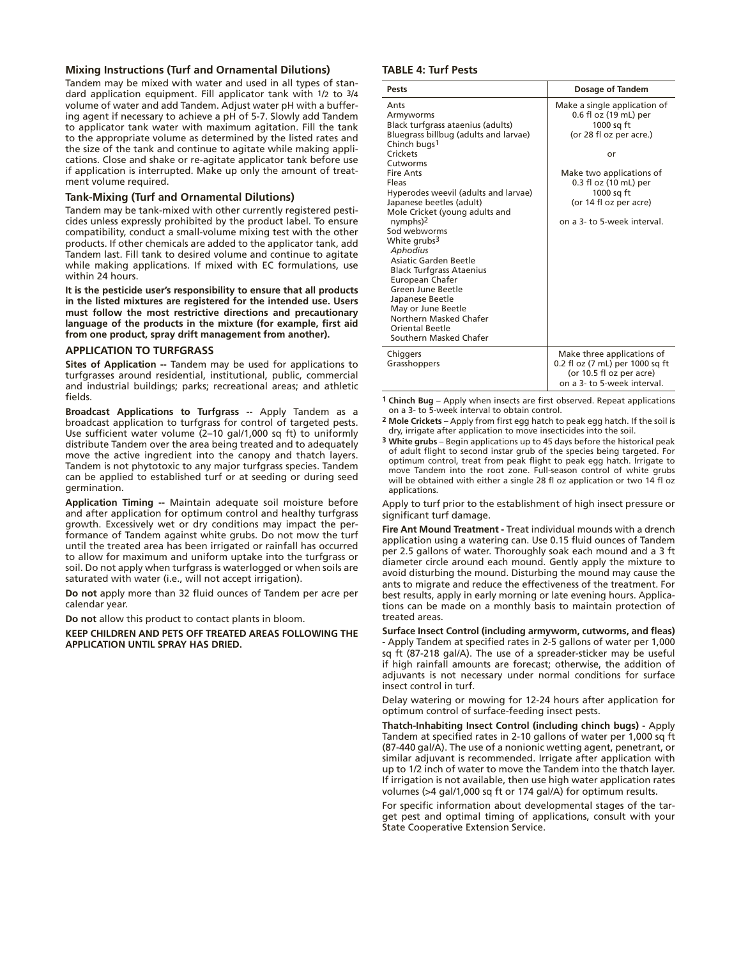#### **Mixing Instructions (Turf and Ornamental Dilutions)**

Tandem may be mixed with water and used in all types of standard application equipment. Fill applicator tank with 1/2 to 3/4 volume of water and add Tandem. Adjust water pH with a buffering agent if necessary to achieve a pH of 5-7. Slowly add Tandem to applicator tank water with maximum agitation. Fill the tank to the appropriate volume as determined by the listed rates and the size of the tank and continue to agitate while making applications. Close and shake or re-agitate applicator tank before use if application is interrupted. Make up only the amount of treatment volume required.

#### **Tank-Mixing (Turf and Ornamental Dilutions)**

Tandem may be tank-mixed with other currently registered pesticides unless expressly prohibited by the product label. To ensure compatibility, conduct a small-volume mixing test with the other products. If other chemicals are added to the applicator tank, add Tandem last. Fill tank to desired volume and continue to agitate while making applications. If mixed with EC formulations, use within 24 hours.

**It is the pesticide user's responsibility to ensure that all products in the listed mixtures are registered for the intended use. Users must follow the most restrictive directions and precautionary language of the products in the mixture (for example, first aid from one product, spray drift management from another).**

#### **APPLICATION TO TURFGRASS**

**Sites of Application --** Tandem may be used for applications to turfgrasses around residential, institutional, public, commercial and industrial buildings; parks; recreational areas; and athletic fields.

**Broadcast Applications to Turfgrass --** Apply Tandem as a broadcast application to turfgrass for control of targeted pests. Use sufficient water volume (2–10 gal/1,000 sq ft) to uniformly distribute Tandem over the area being treated and to adequately move the active ingredient into the canopy and thatch layers. Tandem is not phytotoxic to any major turfgrass species. Tandem can be applied to established turf or at seeding or during seed germination.

**Application Timing --** Maintain adequate soil moisture before and after application for optimum control and healthy turfgrass growth. Excessively wet or dry conditions may impact the performance of Tandem against white grubs. Do not mow the turf until the treated area has been irrigated or rainfall has occurred to allow for maximum and uniform uptake into the turfgrass or soil. Do not apply when turfgrass is waterlogged or when soils are saturated with water (i.e., will not accept irrigation).

**Do not** apply more than 32 fluid ounces of Tandem per acre per calendar year.

**Do not** allow this product to contact plants in bloom.

**KEEP CHILDREN AND PETS OFF TREATED AREAS FOLLOWING THE APPLICATION UNTIL SPRAY HAS DRIED.**

#### **TABLE 4: Turf Pests**

| <b>Pests</b>                                                                                                                                                                                                                                                                                                                                                                                                                                                                                                                                                                                      | <b>Dosage of Tandem</b>                                                                                                                                                                                                          |
|---------------------------------------------------------------------------------------------------------------------------------------------------------------------------------------------------------------------------------------------------------------------------------------------------------------------------------------------------------------------------------------------------------------------------------------------------------------------------------------------------------------------------------------------------------------------------------------------------|----------------------------------------------------------------------------------------------------------------------------------------------------------------------------------------------------------------------------------|
| Ants<br>Armyworms<br>Black turfgrass ataenius (adults)<br>Bluegrass billbug (adults and larvae)<br>Chinch bugs <sup>1</sup><br>Crickets<br>Cutworms<br><b>Fire Ants</b><br>Fleas<br>Hyperodes weevil (adults and larvae)<br>Japanese beetles (adult)<br>Mole Cricket (young adults and<br>nymphs) <sup>2</sup><br>Sod webworms<br>White grubs <sup>3</sup><br>Aphodius<br>Asiatic Garden Beetle<br><b>Black Turfgrass Ataenius</b><br>European Chafer<br>Green June Beetle<br>Japanese Beetle<br>May or June Beetle<br>Northern Masked Chafer<br><b>Oriental Beetle</b><br>Southern Masked Chafer | Make a single application of<br>0.6 fl oz (19 mL) per<br>1000 sq ft<br>(or 28 fl oz per acre.)<br>or<br>Make two applications of<br>0.3 fl oz (10 mL) per<br>1000 sq ft<br>(or 14 fl oz per acre)<br>on a 3- to 5-week interval. |
| Chiggers<br>Grasshoppers                                                                                                                                                                                                                                                                                                                                                                                                                                                                                                                                                                          | Make three applications of<br>0.2 fl oz (7 mL) per 1000 sq ft<br>(or 10.5 fl oz per acre)<br>on a 3- to 5-week interval.                                                                                                         |

**1 Chinch Bug** – Apply when insects are first observed. Repeat applications on a 3- to 5-week interval to obtain control.

- **2 Mole Crickets** Apply from first egg hatch to peak egg hatch. If the soil is dry, irrigate after application to move insecticides into the soil.
- **3 White grubs** Begin applications up to 45 days before the historical peak of adult flight to second instar grub of the species being targeted. For optimum control, treat from peak flight to peak egg hatch. Irrigate to move Tandem into the root zone. Full-season control of white grubs will be obtained with either a single 28 fl oz application or two 14 fl oz applications.

Apply to turf prior to the establishment of high insect pressure or significant turf damage.

**Fire Ant Mound Treatment -** Treat individual mounds with a drench application using a watering can. Use 0.15 fluid ounces of Tandem per 2.5 gallons of water. Thoroughly soak each mound and a 3 ft diameter circle around each mound. Gently apply the mixture to avoid disturbing the mound. Disturbing the mound may cause the ants to migrate and reduce the effectiveness of the treatment. For best results, apply in early morning or late evening hours. Applications can be made on a monthly basis to maintain protection of treated areas.

**Surface Insect Control (including armyworm, cutworms, and fleas) -** Apply Tandem at specified rates in 2-5 gallons of water per 1,000 sq ft (87-218 gal/A). The use of a spreader-sticker may be useful if high rainfall amounts are forecast; otherwise, the addition of adjuvants is not necessary under normal conditions for surface insect control in turf.

Delay watering or mowing for 12-24 hours after application for optimum control of surface-feeding insect pests.

**Thatch-Inhabiting Insect Control (including chinch bugs) -** Apply Tandem at specified rates in 2-10 gallons of water per 1,000 sq ft (87-440 gal/A). The use of a nonionic wetting agent, penetrant, or similar adjuvant is recommended. Irrigate after application with up to 1/2 inch of water to move the Tandem into the thatch layer. If irrigation is not available, then use high water application rates volumes (>4 gal/1,000 sq ft or 174 gal/A) for optimum results.

For specific information about developmental stages of the target pest and optimal timing of applications, consult with your State Cooperative Extension Service.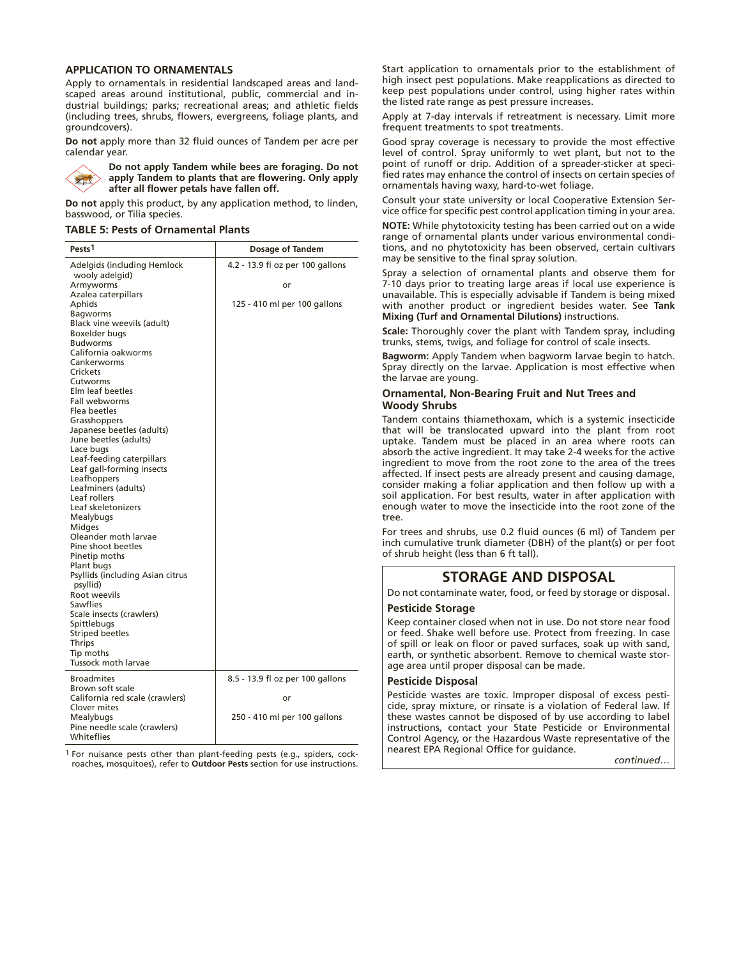#### **APPLICATION TO ORNAMENTALS**

Apply to ornamentals in residential landscaped areas and landscaped areas around institutional, public, commercial and industrial buildings; parks; recreational areas; and athletic fields (including trees, shrubs, flowers, evergreens, foliage plants, and groundcovers).

**Do not** apply more than 32 fluid ounces of Tandem per acre per calendar year.



**Do not apply Tandem while bees are foraging. Do not apply Tandem to plants that are flowering. Only apply after all flower petals have fallen off.**

**Do not** apply this product, by any application method, to linden, basswood, or Tilia species.

#### **TABLE 5: Pests of Ornamental Plants**

| Pests <sup>1</sup>                                                                                                                                                                                                                                                                                                                                                                                                                                                                                                                                                                                                                                                                                                                                                                                                                            | Dosage of Tandem                                                       |
|-----------------------------------------------------------------------------------------------------------------------------------------------------------------------------------------------------------------------------------------------------------------------------------------------------------------------------------------------------------------------------------------------------------------------------------------------------------------------------------------------------------------------------------------------------------------------------------------------------------------------------------------------------------------------------------------------------------------------------------------------------------------------------------------------------------------------------------------------|------------------------------------------------------------------------|
| Adelgids (including Hemlock<br>wooly adelgid)<br>Armyworms<br>Azalea caterpillars<br>Aphids<br><b>Bagworms</b><br>Black vine weevils (adult)<br>Boxelder bugs<br><b>Budworms</b><br>California oakworms<br>Cankerworms<br>Crickets<br>Cutworms<br>Elm leaf beetles<br><b>Fall webworms</b><br>Flea beetles<br>Grasshoppers<br>Japanese beetles (adults)<br>June beetles (adults)<br>Lace bugs<br>Leaf-feeding caterpillars<br>Leaf gall-forming insects<br>Leafhoppers<br>Leafminers (adults)<br>Leaf rollers<br>Leaf skeletonizers<br>Mealybugs<br><b>Midges</b><br>Oleander moth larvae<br>Pine shoot beetles<br>Pinetip moths<br>Plant bugs<br>Psyllids (including Asian citrus<br>psyllid)<br>Root weevils<br>Sawflies<br>Scale insects (crawlers)<br>Spittlebugs<br><b>Striped beetles</b><br>Thrips<br>Tip moths<br>Tussock moth larvae | 4.2 - 13.9 fl oz per 100 gallons<br>or<br>125 - 410 ml per 100 gallons |
| <b>Broadmites</b>                                                                                                                                                                                                                                                                                                                                                                                                                                                                                                                                                                                                                                                                                                                                                                                                                             | 8.5 - 13.9 fl oz per 100 gallons                                       |
| Brown soft scale<br>California red scale (crawlers)<br><b>Clover mites</b><br>Mealybugs<br>Pine needle scale (crawlers)<br>Whiteflies                                                                                                                                                                                                                                                                                                                                                                                                                                                                                                                                                                                                                                                                                                         | or<br>250 - 410 ml per 100 gallons                                     |

1 For nuisance pests other than plant-feeding pests (e.g., spiders, cockroaches, mosquitoes), refer to **Outdoor Pests** section for use instructions.

Start application to ornamentals prior to the establishment of high insect pest populations. Make reapplications as directed to keep pest populations under control, using higher rates within the listed rate range as pest pressure increases.

Apply at 7-day intervals if retreatment is necessary. Limit more frequent treatments to spot treatments.

Good spray coverage is necessary to provide the most effective level of control. Spray uniformly to wet plant, but not to the point of runoff or drip. Addition of a spreader-sticker at specified rates may enhance the control of insects on certain species of ornamentals having waxy, hard-to-wet foliage.

Consult your state university or local Cooperative Extension Service office for specific pest control application timing in your area.

**NOTE:** While phytotoxicity testing has been carried out on a wide range of ornamental plants under various environmental conditions, and no phytotoxicity has been observed, certain cultivars may be sensitive to the final spray solution.

Spray a selection of ornamental plants and observe them for 7-10 days prior to treating large areas if local use experience is unavailable. This is especially advisable if Tandem is being mixed with another product or ingredient besides water. See **Tank Mixing (Turf and Ornamental Dilutions)** instructions.

**Scale:** Thoroughly cover the plant with Tandem spray, including trunks, stems, twigs, and foliage for control of scale insects.

**Bagworm:** Apply Tandem when bagworm larvae begin to hatch. Spray directly on the larvae. Application is most effective when the larvae are young.

#### **Ornamental, Non-Bearing Fruit and Nut Trees and Woody Shrubs**

Tandem contains thiamethoxam, which is a systemic insecticide that will be translocated upward into the plant from root uptake. Tandem must be placed in an area where roots can absorb the active ingredient. It may take 2-4 weeks for the active ingredient to move from the root zone to the area of the trees affected. If insect pests are already present and causing damage, consider making a foliar application and then follow up with a soil application. For best results, water in after application with enough water to move the insecticide into the root zone of the tree.

For trees and shrubs, use 0.2 fluid ounces (6 ml) of Tandem per inch cumulative trunk diameter (DBH) of the plant(s) or per foot of shrub height (less than 6 ft tall).

## **STORAGE AND DISPOSAL**

Do not contaminate water, food, or feed by storage or disposal.

#### **Pesticide Storage**

Keep container closed when not in use. Do not store near food or feed. Shake well before use. Protect from freezing. In case of spill or leak on floor or paved surfaces, soak up with sand, earth, or synthetic absorbent. Remove to chemical waste storage area until proper disposal can be made.

#### **Pesticide Disposal**

Pesticide wastes are toxic. Improper disposal of excess pesticide, spray mixture, or rinsate is a violation of Federal law. If these wastes cannot be disposed of by use according to label instructions, contact your State Pesticide or Environmental Control Agency, or the Hazardous Waste representative of the nearest EPA Regional Office for guidance.

*continued…*